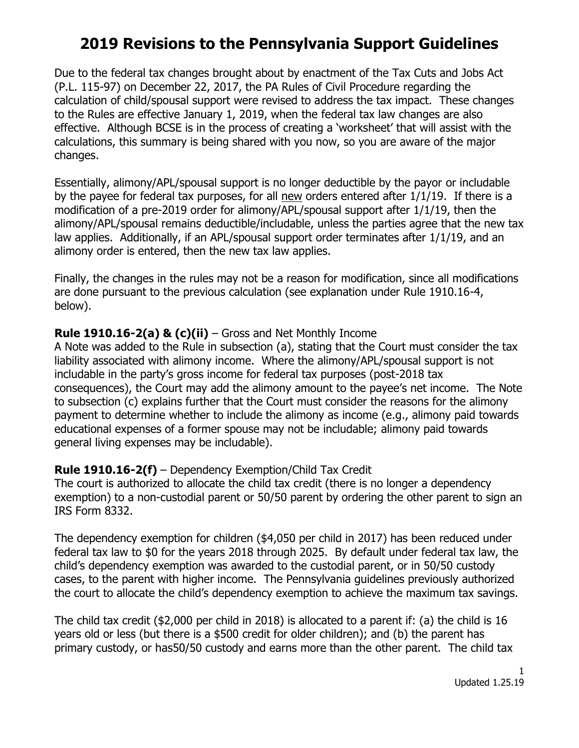# **2019 Revisions to the Pennsylvania Support Guidelines**

Due to the federal tax changes brought about by enactment of the Tax Cuts and Jobs Act (P.L. 115-97) on December 22, 2017, the PA Rules of Civil Procedure regarding the calculation of child/spousal support were revised to address the tax impact. These changes to the Rules are effective January 1, 2019, when the federal tax law changes are also effective. Although BCSE is in the process of creating a 'worksheet' that will assist with the calculations, this summary is being shared with you now, so you are aware of the major changes.

Essentially, alimony/APL/spousal support is no longer deductible by the payor or includable by the payee for federal tax purposes, for all new orders entered after 1/1/19. If there is a modification of a pre-2019 order for alimony/APL/spousal support after 1/1/19, then the alimony/APL/spousal remains deductible/includable, unless the parties agree that the new tax law applies. Additionally, if an APL/spousal support order terminates after 1/1/19, and an alimony order is entered, then the new tax law applies.

Finally, the changes in the rules may not be a reason for modification, since all modifications are done pursuant to the previous calculation (see explanation under Rule 1910.16-4, below).

# **Rule 1910.16-2(a) & (c)(ii)** – Gross and Net Monthly Income

A Note was added to the Rule in subsection (a), stating that the Court must consider the tax liability associated with alimony income. Where the alimony/APL/spousal support is not includable in the party's gross income for federal tax purposes (post-2018 tax consequences), the Court may add the alimony amount to the payee's net income. The Note to subsection (c) explains further that the Court must consider the reasons for the alimony payment to determine whether to include the alimony as income (e.g., alimony paid towards educational expenses of a former spouse may not be includable; alimony paid towards general living expenses may be includable).

# **Rule 1910.16-2(f)** – Dependency Exemption/Child Tax Credit

The court is authorized to allocate the child tax credit (there is no longer a dependency exemption) to a non-custodial parent or 50/50 parent by ordering the other parent to sign an IRS Form 8332.

The dependency exemption for children (\$4,050 per child in 2017) has been reduced under federal tax law to \$0 for the years 2018 through 2025. By default under federal tax law, the child's dependency exemption was awarded to the custodial parent, or in 50/50 custody cases, to the parent with higher income. The Pennsylvania guidelines previously authorized the court to allocate the child's dependency exemption to achieve the maximum tax savings.

The child tax credit (\$2,000 per child in 2018) is allocated to a parent if: (a) the child is 16 years old or less (but there is a \$500 credit for older children); and (b) the parent has primary custody, or has50/50 custody and earns more than the other parent. The child tax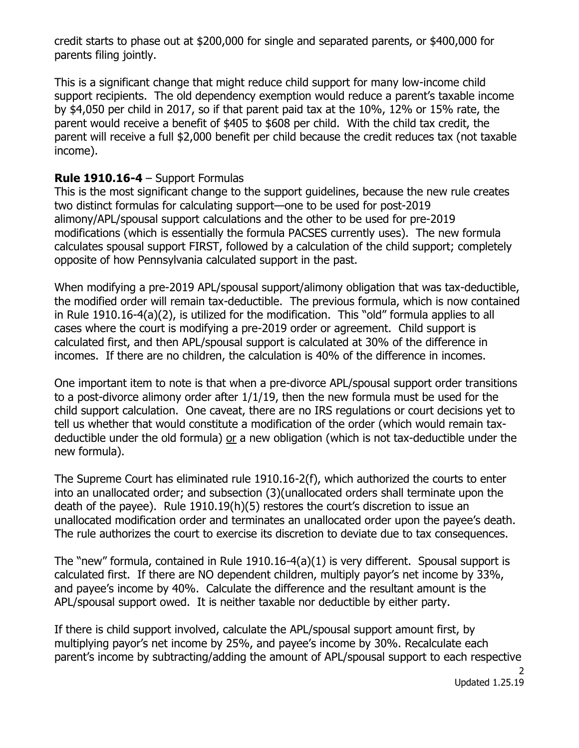credit starts to phase out at \$200,000 for single and separated parents, or \$400,000 for parents filing jointly.

This is a significant change that might reduce child support for many low-income child support recipients. The old dependency exemption would reduce a parent's taxable income by \$4,050 per child in 2017, so if that parent paid tax at the 10%, 12% or 15% rate, the parent would receive a benefit of \$405 to \$608 per child. With the child tax credit, the parent will receive a full \$2,000 benefit per child because the credit reduces tax (not taxable income).

#### **Rule 1910.16-4** – Support Formulas

This is the most significant change to the support guidelines, because the new rule creates two distinct formulas for calculating support—one to be used for post-2019 alimony/APL/spousal support calculations and the other to be used for pre-2019 modifications (which is essentially the formula PACSES currently uses). The new formula calculates spousal support FIRST, followed by a calculation of the child support; completely opposite of how Pennsylvania calculated support in the past.

When modifying a pre-2019 APL/spousal support/alimony obligation that was tax-deductible, the modified order will remain tax-deductible. The previous formula, which is now contained in Rule 1910.16-4(a)(2), is utilized for the modification. This "old" formula applies to all cases where the court is modifying a pre-2019 order or agreement. Child support is calculated first, and then APL/spousal support is calculated at 30% of the difference in incomes. If there are no children, the calculation is 40% of the difference in incomes.

One important item to note is that when a pre-divorce APL/spousal support order transitions to a post-divorce alimony order after 1/1/19, then the new formula must be used for the child support calculation. One caveat, there are no IRS regulations or court decisions yet to tell us whether that would constitute a modification of the order (which would remain taxdeductible under the old formula) or a new obligation (which is not tax-deductible under the new formula).

The Supreme Court has eliminated rule 1910.16-2(f), which authorized the courts to enter into an unallocated order; and subsection (3)(unallocated orders shall terminate upon the death of the payee). Rule 1910.19(h)(5) restores the court's discretion to issue an unallocated modification order and terminates an unallocated order upon the payee's death. The rule authorizes the court to exercise its discretion to deviate due to tax consequences.

The "new" formula, contained in Rule 1910.16-4(a)(1) is very different. Spousal support is calculated first. If there are NO dependent children, multiply payor's net income by 33%, and payee's income by 40%. Calculate the difference and the resultant amount is the APL/spousal support owed. It is neither taxable nor deductible by either party.

If there is child support involved, calculate the APL/spousal support amount first, by multiplying payor's net income by 25%, and payee's income by 30%. Recalculate each parent's income by subtracting/adding the amount of APL/spousal support to each respective